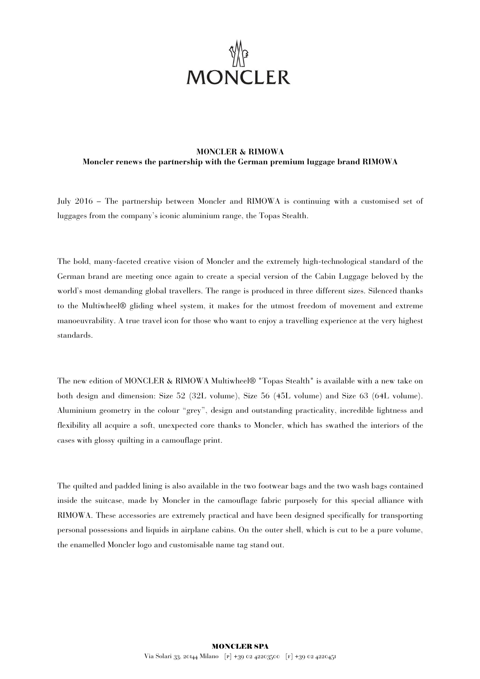

## **MONCLER & RIMOWA Moncler renews the partnership with the German premium luggage brand RIMOWA**

July 2016 – The partnership between Moncler and RIMOWA is continuing with a customised set of luggages from the company's iconic aluminium range, the Topas Stealth.

The bold, many-faceted creative vision of Moncler and the extremely high-technological standard of the German brand are meeting once again to create a special version of the Cabin Luggage beloved by the world's most demanding global travellers. The range is produced in three different sizes. Silenced thanks to the Multiwheel® gliding wheel system, it makes for the utmost freedom of movement and extreme manoeuvrability. A true travel icon for those who want to enjoy a travelling experience at the very highest standards.

The new edition of MONCLER & RIMOWA Multiwheel® "Topas Stealth" is available with a new take on both design and dimension: Size 52 (32L volume), Size 56 (45L volume) and Size 63 (64L volume). Aluminium geometry in the colour "grey", design and outstanding practicality, incredible lightness and flexibility all acquire a soft, unexpected core thanks to Moncler, which has swathed the interiors of the cases with glossy quilting in a camouflage print.

The quilted and padded lining is also available in the two footwear bags and the two wash bags contained inside the suitcase, made by Moncler in the camouflage fabric purposely for this special alliance with RIMOWA. These accessories are extremely practical and have been designed specifically for transporting personal possessions and liquids in airplane cabins. On the outer shell, which is cut to be a pure volume, the enamelled Moncler logo and customisable name tag stand out.